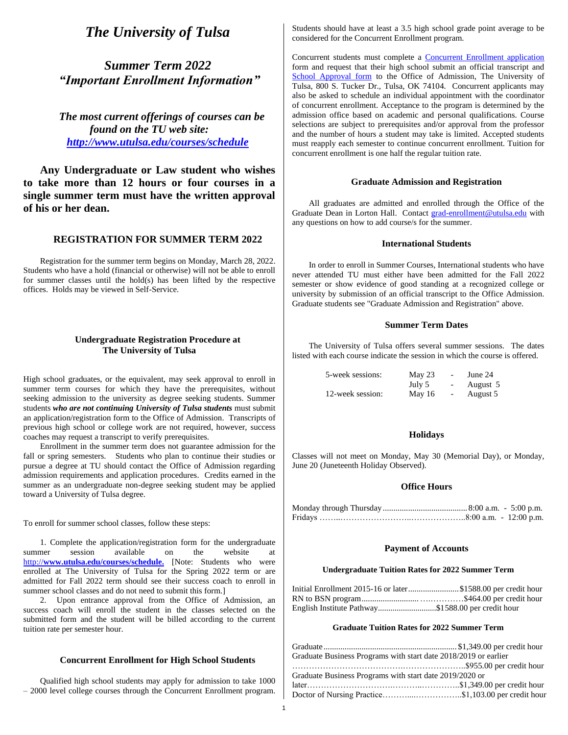# *The University of Tulsa*

## *Summer Term 2022 "Important Enrollment Information"*

*The most current offerings of courses can be found on the TU web site: <http://www.utulsa.edu/courses/schedule>*

**Any Undergraduate or Law student who wishes to take more than 12 hours or four courses in a single summer term must have the written approval of his or her dean.**

## **REGISTRATION FOR SUMMER TERM 2022**

Registration for the summer term begins on Monday, March 28, 2022. Students who have a hold (financial or otherwise) will not be able to enroll for summer classes until the hold(s) has been lifted by the respective offices. Holds may be viewed in Self-Service.

### **Undergraduate Registration Procedure at The University of Tulsa**

High school graduates, or the equivalent, may seek approval to enroll in summer term courses for which they have the prerequisites, without seeking admission to the university as degree seeking students. Summer students *who are not continuing University of Tulsa students* must submit an application/registration form to the Office of Admission. Transcripts of previous high school or college work are not required, however, success coaches may request a transcript to verify prerequisites.

Enrollment in the summer term does not guarantee admission for the fall or spring semesters. Students who plan to continue their studies or pursue a degree at TU should contact the Office of Admission regarding admission requirements and application procedures. Credits earned in the summer as an undergraduate non-degree seeking student may be applied toward a University of Tulsa degree.

To enroll for summer school classes, follow these steps:

1. Complete the application/registration form for the undergraduate summer session available on the website at http://**[www.utulsa.edu/courses/schedule.](http://www.utulsa.edu/courses/schedule)** [Note: Students who were enrolled at The University of Tulsa for the Spring 2022 term or are admitted for Fall 2022 term should see their success coach to enroll in summer school classes and do not need to submit this form.]

2. Upon entrance approval from the Office of Admission, an success coach will enroll the student in the classes selected on the submitted form and the student will be billed according to the current tuition rate per semester hour.

#### **Concurrent Enrollment for High School Students**

Qualified high school students may apply for admission to take 1000 – 2000 level college courses through the Concurrent Enrollment program. Students should have at least a 3.5 high school grade point average to be considered for the Concurrent Enrollment program.

Concurrent students must complete a [Concurrent Enrollment application](https://applytulsa.utulsa.edu/register/?id=d696ac06-c442-4861-b76f-89894484e393) form and request that their high school submit an official transcript and [School Approval form](https://applytulsa.utulsa.edu/register/concurrentschoolapproval) to the Office of Admission, The University of Tulsa, 800 S. Tucker Dr., Tulsa, OK 74104. Concurrent applicants may also be asked to schedule an individual appointment with the coordinator of concurrent enrollment. Acceptance to the program is determined by the admission office based on academic and personal qualifications. Course selections are subject to prerequisites and/or approval from the professor and the number of hours a student may take is limited. Accepted students must reapply each semester to continue concurrent enrollment. Tuition for concurrent enrollment is one half the regular tuition rate.

#### **Graduate Admission and Registration**

All graduates are admitted and enrolled through the Office of the Graduate Dean in Lorton Hall. Contact [grad-enrollment@utulsa.edu](mailto:grad-enrollment@utulsa.edu) with any questions on how to add course/s for the summer.

### **International Students**

In order to enroll in Summer Courses, International students who have never attended TU must either have been admitted for the Fall 2022 semester or show evidence of good standing at a recognized college or university by submission of an official transcript to the Office Admission. Graduate students see "Graduate Admission and Registration" above.

#### **Summer Term Dates**

The University of Tulsa offers several summer sessions. The dates listed with each course indicate the session in which the course is offered.

| 5-week sessions: | May 23 | $\overline{\phantom{a}}$ | June 24  |
|------------------|--------|--------------------------|----------|
|                  | July 5 |                          | August 5 |
| 12-week session: | May 16 | $\overline{\phantom{a}}$ | August 5 |

#### **Holidays**

Classes will not meet on Monday, May 30 (Memorial Day), or Monday, June 20 (Juneteenth Holiday Observed).

#### **Office Hours**

#### **Payment of Accounts**

#### **Undergraduate Tuition Rates for 2022 Summer Term**

|                                                    | Initial Enrollment 2015-16 or later\$1588.00 per credit hour |
|----------------------------------------------------|--------------------------------------------------------------|
|                                                    |                                                              |
| English Institute Pathway\$1588.00 per credit hour |                                                              |

#### **Graduate Tuition Rates for 2022 Summer Term**

| Graduate Business Programs with start date 2018/2019 or earlier |  |
|-----------------------------------------------------------------|--|
|                                                                 |  |
| Graduate Business Programs with start date 2019/2020 or         |  |
|                                                                 |  |
| Doctor of Nursing Practice\$1,103.00 per credit hour            |  |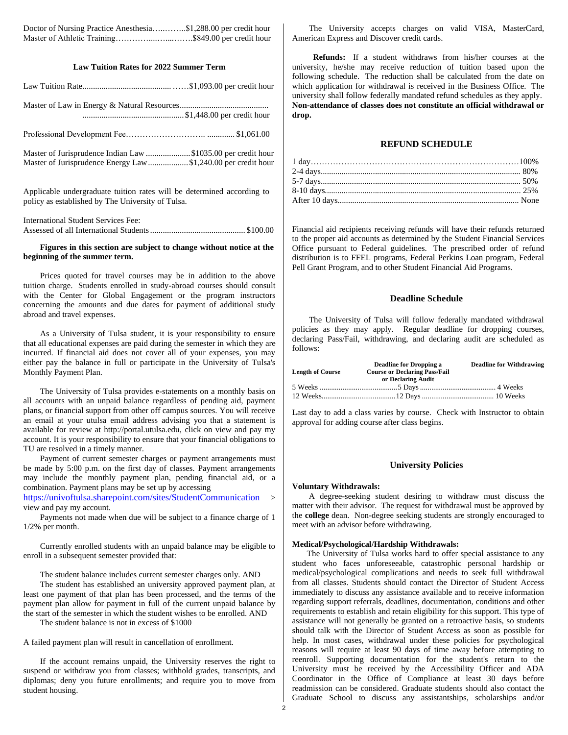Doctor of Nursing Practice Anesthesia…..……..\$1,288.00 per credit hour Master of Athletic Training…………....…....…….\$849.00 per credit hour

### **Law Tuition Rates for 2022 Summer Term**

| Master of Jurisprudence Indian Law \$1035.00 per credit hour<br>Master of Jurisprudence Energy Law\$1,240.00 per credit hour |  |
|------------------------------------------------------------------------------------------------------------------------------|--|

Applicable undergraduate tuition rates will be determined according to policy as established by The University of Tulsa.

| International Student Services Fee: |  |
|-------------------------------------|--|
|                                     |  |

#### **Figures in this section are subject to change without notice at the beginning of the summer term.**

Prices quoted for travel courses may be in addition to the above tuition charge. Students enrolled in study-abroad courses should consult with the Center for Global Engagement or the program instructors concerning the amounts and due dates for payment of additional study abroad and travel expenses.

As a University of Tulsa student, it is your responsibility to ensure that all educational expenses are paid during the semester in which they are incurred. If financial aid does not cover all of your expenses, you may either pay the balance in full or participate in the University of Tulsa's Monthly Payment Plan.

The University of Tulsa provides e-statements on a monthly basis on all accounts with an unpaid balance regardless of pending aid, payment plans, or financial support from other off campus sources. You will receive an email at your utulsa email address advising you that a statement is available for review at http://portal.utulsa.edu, click on view and pay my account. It is your responsibility to ensure that your financial obligations to TU are resolved in a timely manner.

Payment of current semester charges or payment arrangements must be made by 5:00 p.m. on the first day of classes. Payment arrangements may include the monthly payment plan, pending financial aid, or a combination. Payment plans may be set up by accessing

<https://univoftulsa.sharepoint.com/sites/StudentCommunication> > view and pay my account.

Payments not made when due will be subject to a finance charge of 1 1/2% per month.

Currently enrolled students with an unpaid balance may be eligible to enroll in a subsequent semester provided that:

The student balance includes current semester charges only. AND

The student has established an university approved payment plan, at least one payment of that plan has been processed, and the terms of the payment plan allow for payment in full of the current unpaid balance by the start of the semester in which the student wishes to be enrolled. AND

The student balance is not in excess of \$1000

A failed payment plan will result in cancellation of enrollment.

If the account remains unpaid, the University reserves the right to suspend or withdraw you from classes; withhold grades, transcripts, and diplomas; deny you future enrollments; and require you to move from student housing.

The University accepts charges on valid VISA, MasterCard, American Express and Discover credit cards.

 **Refunds:** If a student withdraws from his/her courses at the university, he/she may receive reduction of tuition based upon the following schedule. The reduction shall be calculated from the date on which application for withdrawal is received in the Business Office. The university shall follow federally mandated refund schedules as they apply. **Non-attendance of classes does not constitute an official withdrawal or drop.** 

#### **REFUND SCHEDULE**

| $1 \text{ day} \dots 100\%$ |  |
|-----------------------------|--|
|                             |  |
|                             |  |
|                             |  |
|                             |  |

Financial aid recipients receiving refunds will have their refunds returned to the proper aid accounts as determined by the Student Financial Services Office pursuant to Federal guidelines. The prescribed order of refund distribution is to FFEL programs, Federal Perkins Loan program, Federal Pell Grant Program, and to other Student Financial Aid Programs.

#### **Deadline Schedule**

The University of Tulsa will follow federally mandated withdrawal policies as they may apply. Regular deadline for dropping courses, declaring Pass/Fail, withdrawing, and declaring audit are scheduled as follows:

|                         | <b>Deadline for Dropping a</b>       | <b>Deadline for Withdrawing</b> |
|-------------------------|--------------------------------------|---------------------------------|
| <b>Length of Course</b> | <b>Course or Declaring Pass/Fail</b> |                                 |
|                         | or Declaring Audit                   |                                 |
|                         |                                      |                                 |
|                         |                                      |                                 |

Last day to add a class varies by course. Check with Instructor to obtain approval for adding course after class begins.

#### **University Policies**

#### **Voluntary Withdrawals:**

A degree-seeking student desiring to withdraw must discuss the matter with their advisor. The request for withdrawal must be approved by the **college** dean. Non-degree seeking students are strongly encouraged to meet with an advisor before withdrawing.

#### **Medical/Psychological/Hardship Withdrawals:**

 The University of Tulsa works hard to offer special assistance to any student who faces unforeseeable, catastrophic personal hardship or medical/psychological complications and needs to seek full withdrawal from all classes. Students should contact the Director of Student Access immediately to discuss any assistance available and to receive information regarding support referrals, deadlines, documentation, conditions and other requirements to establish and retain eligibility for this support. This type of assistance will not generally be granted on a retroactive basis, so students should talk with the Director of Student Access as soon as possible for help. In most cases, withdrawal under these policies for psychological reasons will require at least 90 days of time away before attempting to reenroll. Supporting documentation for the student's return to the University must be received by the Accessibility Officer and ADA Coordinator in the Office of Compliance at least 30 days before readmission can be considered. Graduate students should also contact the Graduate School to discuss any assistantships, scholarships and/or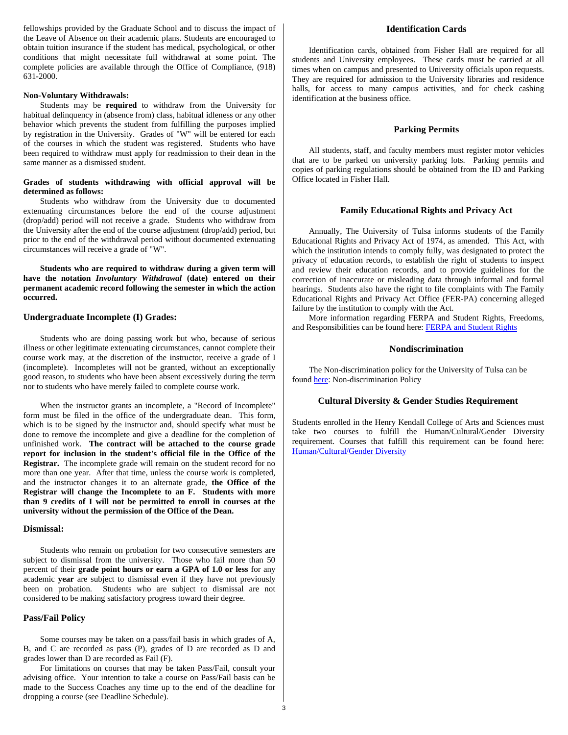fellowships provided by the Graduate School and to discuss the impact of the Leave of Absence on their academic plans. Students are encouraged to obtain tuition insurance if the student has medical, psychological, or other conditions that might necessitate full withdrawal at some point. The complete policies are available through the Office of Compliance, (918) 631-2000.

#### **Non-Voluntary Withdrawals:**

Students may be **required** to withdraw from the University for habitual delinquency in (absence from) class, habitual idleness or any other behavior which prevents the student from fulfilling the purposes implied by registration in the University. Grades of "W" will be entered for each of the courses in which the student was registered. Students who have been required to withdraw must apply for readmission to their dean in the same manner as a dismissed student.

#### **Grades of students withdrawing with official approval will be determined as follows:**

Students who withdraw from the University due to documented extenuating circumstances before the end of the course adjustment (drop/add) period will not receive a grade. Students who withdraw from the University after the end of the course adjustment (drop/add) period, but prior to the end of the withdrawal period without documented extenuating circumstances will receive a grade of "W".

**Students who are required to withdraw during a given term will have the notation** *Involuntary Withdrawal* **(date) entered on their permanent academic record following the semester in which the action occurred.**

#### **Undergraduate Incomplete (I) Grades:**

Students who are doing passing work but who, because of serious illness or other legitimate extenuating circumstances, cannot complete their course work may, at the discretion of the instructor, receive a grade of I (incomplete). Incompletes will not be granted, without an exceptionally good reason, to students who have been absent excessively during the term nor to students who have merely failed to complete course work.

When the instructor grants an incomplete, a "Record of Incomplete" form must be filed in the office of the undergraduate dean. This form, which is to be signed by the instructor and, should specify what must be done to remove the incomplete and give a deadline for the completion of unfinished work. **The contract will be attached to the course grade report for inclusion in the student's official file in the Office of the Registrar.** The incomplete grade will remain on the student record for no more than one year. After that time, unless the course work is completed, and the instructor changes it to an alternate grade, **the Office of the Registrar will change the Incomplete to an F. Students with more than 9 credits of I will not be permitted to enroll in courses at the university without the permission of the Office of the Dean.**

#### **Dismissal:**

Students who remain on probation for two consecutive semesters are subject to dismissal from the university. Those who fail more than 50 percent of their **grade point hours or earn a GPA of 1.0 or less** for any academic **year** are subject to dismissal even if they have not previously been on probation. Students who are subject to dismissal are not considered to be making satisfactory progress toward their degree.

#### **Pass/Fail Policy**

Some courses may be taken on a pass/fail basis in which grades of A, B, and C are recorded as pass (P), grades of D are recorded as D and grades lower than D are recorded as Fail (F).

For limitations on courses that may be taken Pass/Fail, consult your advising office. Your intention to take a course on Pass/Fail basis can be made to the Success Coaches any time up to the end of the deadline for dropping a course (see Deadline Schedule).

#### **Identification Cards**

Identification cards, obtained from Fisher Hall are required for all students and University employees. These cards must be carried at all times when on campus and presented to University officials upon requests. They are required for admission to the University libraries and residence halls, for access to many campus activities, and for check cashing identification at the business office.

#### **Parking Permits**

All students, staff, and faculty members must register motor vehicles that are to be parked on university parking lots. Parking permits and copies of parking regulations should be obtained from the ID and Parking Office located in Fisher Hall.

#### **Family Educational Rights and Privacy Act**

Annually, The University of Tulsa informs students of the Family Educational Rights and Privacy Act of 1974, as amended. This Act, with which the institution intends to comply fully, was designated to protect the privacy of education records, to establish the right of students to inspect and review their education records, and to provide guidelines for the correction of inaccurate or misleading data through informal and formal hearings. Students also have the right to file complaints with The Family Educational Rights and Privacy Act Office (FER-PA) concerning alleged failure by the institution to comply with the Act.

More information regarding FERPA and Student Rights, Freedoms, and Responsibilities can be found here: [FERPA and Student Rights](http://bulletin.utulsa.edu/content.php?catoid=23&navoid=1268)

#### **Nondiscrimination**

The Non-discrimination policy for the University of Tulsa can be foun[d here:](https://utulsa.edu/non-discrimination-policy/?highlight=non-discrimination) Non-discrimination Policy

#### **Cultural Diversity & Gender Studies Requirement**

Students enrolled in the Henry Kendall College of Arts and Sciences must take two courses to fulfill the Human/Cultural/Gender Diversity requirement. Courses that fulfill this requirement can be found here: [Human/Cultural/Gender Diversity](http://bulletin.utulsa.edu/search_advanced.php?cur_cat_oid=23&location=&filter%5bkeyword%5d=HCGD&filter%5b3%5d=1&filter%5b1%5d=&filter%5b28%5d=&filter%5b30%5d=&filter%5bexact_match%5d=1&navoid=1261)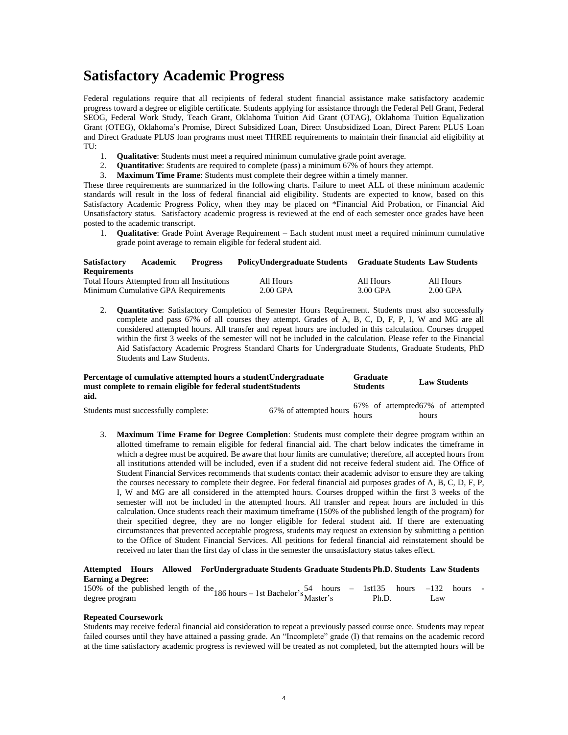# **Satisfactory Academic Progress**

Federal regulations require that all recipients of federal student financial assistance make satisfactory academic progress toward a degree or eligible certificate. Students applying for assistance through the Federal Pell Grant, Federal SEOG, Federal Work Study, Teach Grant, Oklahoma Tuition Aid Grant (OTAG), Oklahoma Tuition Equalization Grant (OTEG), Oklahoma's Promise, Direct Subsidized Loan, Direct Unsubsidized Loan, Direct Parent PLUS Loan and Direct Graduate PLUS loan programs must meet THREE requirements to maintain their financial aid eligibility at TU:

- 1. **Qualitative**: Students must meet a required minimum cumulative grade point average.
- 2. **Quantitative**: Students are required to complete (pass) a minimum 67% of hours they attempt.
- 3. **Maximum Time Frame**: Students must complete their degree within a timely manner.

These three requirements are summarized in the following charts. Failure to meet ALL of these minimum academic standards will result in the loss of federal financial aid eligibility. Students are expected to know, based on this Satisfactory Academic Progress Policy, when they may be placed on \*Financial Aid Probation, or Financial Aid Unsatisfactory status. Satisfactory academic progress is reviewed at the end of each semester once grades have been posted to the academic transcript.

1. **Qualitative**: Grade Point Average Requirement – Each student must meet a required minimum cumulative grade point average to remain eligible for federal student aid.

#### **Satisfactory Academic Progress Requirements Undergraduate Students Graduate Students Law Students** Total Hours Attempted from all Institutions All Hours All Hours All Hours

Minimum Cumulative GPA Requirements 2.00 GPA 3.00 GPA 2.00 GPA

2. **Quantitative**: Satisfactory Completion of Semester Hours Requirement. Students must also successfully complete and pass 67% of all courses they attempt. Grades of A, B, C, D, F, P, I, W and MG are all considered attempted hours. All transfer and repeat hours are included in this calculation. Courses dropped within the first 3 weeks of the semester will not be included in the calculation. Please refer to the Financial Aid Satisfactory Academic Progress Standard Charts for Undergraduate Students, Graduate Students, PhD Students and Law Students.

#### Percentage of cumulative attempted hours a student Undergraduate must complete to remain eligible for federal studentStudents **aid. Graduate Students Law Students** 67% of attempted67% of attempted

| Students must successfully complete: | 67% of attempted hours $\frac{C}{L}$ |       | 67% of attempted67% of attempted |  |
|--------------------------------------|--------------------------------------|-------|----------------------------------|--|
|                                      |                                      | hours | hours                            |  |

3. **Maximum Time Frame for Degree Completion**: Students must complete their degree program within an allotted timeframe to remain eligible for federal financial aid. The chart below indicates the timeframe in which a degree must be acquired. Be aware that hour limits are cumulative; therefore, all accepted hours from all institutions attended will be included, even if a student did not receive federal student aid. The Office of Student Financial Services recommends that students contact their academic advisor to ensure they are taking the courses necessary to complete their degree. For federal financial aid purposes grades of A, B, C, D, F, P, I, W and MG are all considered in the attempted hours. Courses dropped within the first 3 weeks of the semester will not be included in the attempted hours. All transfer and repeat hours are included in this calculation. Once students reach their maximum timeframe (150% of the published length of the program) for their specified degree, they are no longer eligible for federal student aid. If there are extenuating circumstances that prevented acceptable progress, students may request an extension by submitting a petition to the Office of Student Financial Services. All petitions for federal financial aid reinstatement should be received no later than the first day of class in the semester the unsatisfactory status takes effect.

### **Attempted Hours Allowed For Undergraduate Students Graduate StudentsPh.D. Students Law Students Earning a Degree:**

|                |  |  | 150% of the published length of the $186$ hours - 1st Bachelor's $\frac{54}{Master's}$ hours - 1st 135 hours - 132 hours - degree program |  |  |  |  |
|----------------|--|--|-------------------------------------------------------------------------------------------------------------------------------------------|--|--|--|--|
| degree program |  |  |                                                                                                                                           |  |  |  |  |

#### **Repeated Coursework**

Students may receive federal financial aid consideration to repeat a previously passed course once. Students may repeat failed courses until they have attained a passing grade. An "Incomplete" grade (I) that remains on the academic record at the time satisfactory academic progress is reviewed will be treated as not completed, but the attempted hours will be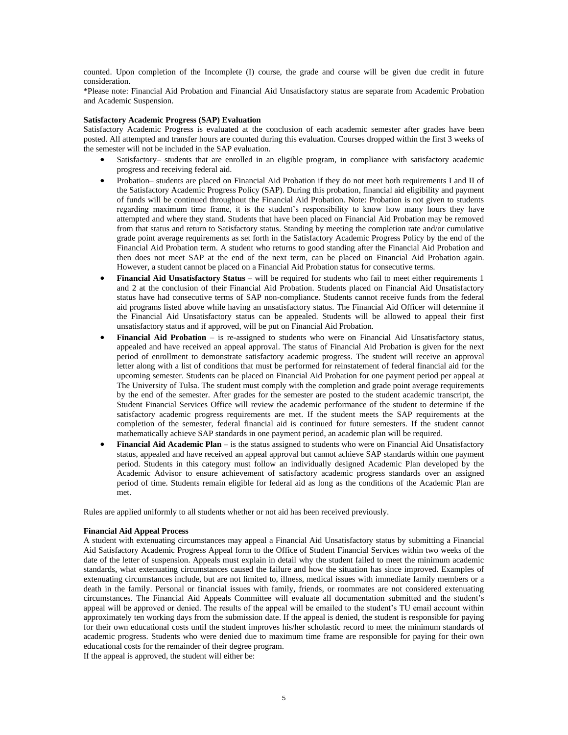counted. Upon completion of the Incomplete (I) course, the grade and course will be given due credit in future consideration.

\*Please note: Financial Aid Probation and Financial Aid Unsatisfactory status are separate from Academic Probation and Academic Suspension.

#### **Satisfactory Academic Progress (SAP) Evaluation**

Satisfactory Academic Progress is evaluated at the conclusion of each academic semester after grades have been posted. All attempted and transfer hours are counted during this evaluation. Courses dropped within the first 3 weeks of the semester will not be included in the SAP evaluation.

- Satisfactory– students that are enrolled in an eligible program, in compliance with satisfactory academic progress and receiving federal aid.
- Probation– students are placed on Financial Aid Probation if they do not meet both requirements I and II of the Satisfactory Academic Progress Policy (SAP). During this probation, financial aid eligibility and payment of funds will be continued throughout the Financial Aid Probation. Note: Probation is not given to students regarding maximum time frame, it is the student's responsibility to know how many hours they have attempted and where they stand. Students that have been placed on Financial Aid Probation may be removed from that status and return to Satisfactory status. Standing by meeting the completion rate and/or cumulative grade point average requirements as set forth in the Satisfactory Academic Progress Policy by the end of the Financial Aid Probation term. A student who returns to good standing after the Financial Aid Probation and then does not meet SAP at the end of the next term, can be placed on Financial Aid Probation again. However, a student cannot be placed on a Financial Aid Probation status for consecutive terms.
- **Financial Aid Unsatisfactory Status** will be required for students who fail to meet either requirements 1 and 2 at the conclusion of their Financial Aid Probation. Students placed on Financial Aid Unsatisfactory status have had consecutive terms of SAP non-compliance. Students cannot receive funds from the federal aid programs listed above while having an unsatisfactory status. The Financial Aid Officer will determine if the Financial Aid Unsatisfactory status can be appealed. Students will be allowed to appeal their first unsatisfactory status and if approved, will be put on Financial Aid Probation.
- **Financial Aid Probation** is re-assigned to students who were on Financial Aid Unsatisfactory status, appealed and have received an appeal approval. The status of Financial Aid Probation is given for the next period of enrollment to demonstrate satisfactory academic progress. The student will receive an approval letter along with a list of conditions that must be performed for reinstatement of federal financial aid for the upcoming semester. Students can be placed on Financial Aid Probation for one payment period per appeal at The University of Tulsa. The student must comply with the completion and grade point average requirements by the end of the semester. After grades for the semester are posted to the student academic transcript, the Student Financial Services Office will review the academic performance of the student to determine if the satisfactory academic progress requirements are met. If the student meets the SAP requirements at the completion of the semester, federal financial aid is continued for future semesters. If the student cannot mathematically achieve SAP standards in one payment period, an academic plan will be required.
- **Financial Aid Academic Plan** is the status assigned to students who were on Financial Aid Unsatisfactory status, appealed and have received an appeal approval but cannot achieve SAP standards within one payment period. Students in this category must follow an individually designed Academic Plan developed by the Academic Advisor to ensure achievement of satisfactory academic progress standards over an assigned period of time. Students remain eligible for federal aid as long as the conditions of the Academic Plan are met.

Rules are applied uniformly to all students whether or not aid has been received previously.

#### **Financial Aid Appeal Process**

A student with extenuating circumstances may appeal a Financial Aid Unsatisfactory status by submitting a Financial Aid Satisfactory Academic Progress Appeal form to the Office of Student Financial Services within two weeks of the date of the letter of suspension. Appeals must explain in detail why the student failed to meet the minimum academic standards, what extenuating circumstances caused the failure and how the situation has since improved. Examples of extenuating circumstances include, but are not limited to, illness, medical issues with immediate family members or a death in the family. Personal or financial issues with family, friends, or roommates are not considered extenuating circumstances. The Financial Aid Appeals Committee will evaluate all documentation submitted and the student's appeal will be approved or denied. The results of the appeal will be emailed to the student's TU email account within approximately ten working days from the submission date. If the appeal is denied, the student is responsible for paying for their own educational costs until the student improves his/her scholastic record to meet the minimum standards of academic progress. Students who were denied due to maximum time frame are responsible for paying for their own educational costs for the remainder of their degree program. If the appeal is approved, the student will either be: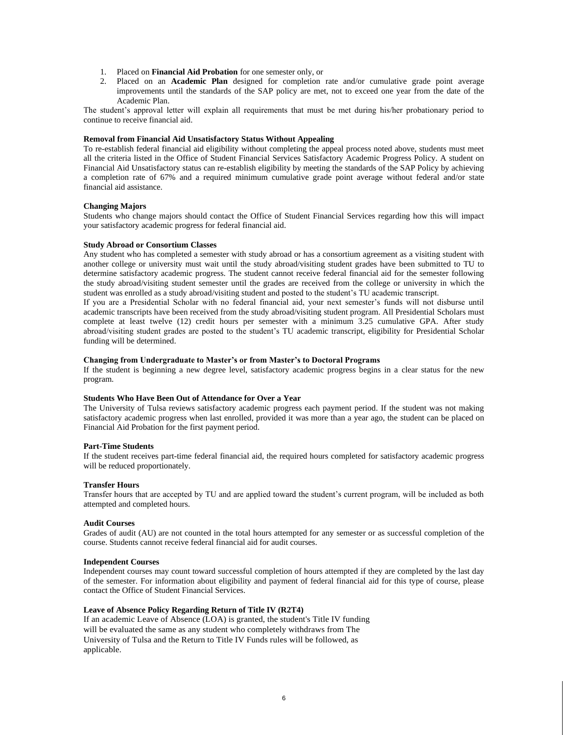- 1. Placed on **Financial Aid Probation** for one semester only, or
- 2. Placed on an **Academic Plan** designed for completion rate and/or cumulative grade point average improvements until the standards of the SAP policy are met, not to exceed one year from the date of the Academic Plan.

The student's approval letter will explain all requirements that must be met during his/her probationary period to continue to receive financial aid.

#### **Removal from Financial Aid Unsatisfactory Status Without Appealing**

To re-establish federal financial aid eligibility without completing the appeal process noted above, students must meet all the criteria listed in the Office of Student Financial Services Satisfactory Academic Progress Policy. A student on Financial Aid Unsatisfactory status can re-establish eligibility by meeting the standards of the SAP Policy by achieving a completion rate of 67% and a required minimum cumulative grade point average without federal and/or state financial aid assistance.

#### **Changing Majors**

Students who change majors should contact the Office of Student Financial Services regarding how this will impact your satisfactory academic progress for federal financial aid.

#### **Study Abroad or Consortium Classes**

Any student who has completed a semester with study abroad or has a consortium agreement as a visiting student with another college or university must wait until the study abroad/visiting student grades have been submitted to TU to determine satisfactory academic progress. The student cannot receive federal financial aid for the semester following the study abroad/visiting student semester until the grades are received from the college or university in which the student was enrolled as a study abroad/visiting student and posted to the student's TU academic transcript.

If you are a Presidential Scholar with no federal financial aid, your next semester's funds will not disburse until academic transcripts have been received from the study abroad/visiting student program. All Presidential Scholars must complete at least twelve (12) credit hours per semester with a minimum 3.25 cumulative GPA. After study abroad/visiting student grades are posted to the student's TU academic transcript, eligibility for Presidential Scholar funding will be determined.

#### **Changing from Undergraduate to Master's or from Master's to Doctoral Programs**

If the student is beginning a new degree level, satisfactory academic progress begins in a clear status for the new program.

#### **Students Who Have Been Out of Attendance for Over a Year**

The University of Tulsa reviews satisfactory academic progress each payment period. If the student was not making satisfactory academic progress when last enrolled, provided it was more than a year ago, the student can be placed on Financial Aid Probation for the first payment period.

#### **Part-Time Students**

If the student receives part-time federal financial aid, the required hours completed for satisfactory academic progress will be reduced proportionately.

#### **Transfer Hours**

Transfer hours that are accepted by TU and are applied toward the student's current program, will be included as both attempted and completed hours.

#### **Audit Courses**

Grades of audit (AU) are not counted in the total hours attempted for any semester or as successful completion of the course. Students cannot receive federal financial aid for audit courses.

#### **Independent Courses**

Independent courses may count toward successful completion of hours attempted if they are completed by the last day of the semester. For information about eligibility and payment of federal financial aid for this type of course, please contact the Office of Student Financial Services.

#### **Leave of Absence Policy Regarding Return of Title IV (R2T4)**

If an academic Leave of Absence (LOA) is granted, the student's Title IV funding will be evaluated the same as any student who completely withdraws from The University of Tulsa and the Return to Title IV Funds rules will be followed, as applicable.